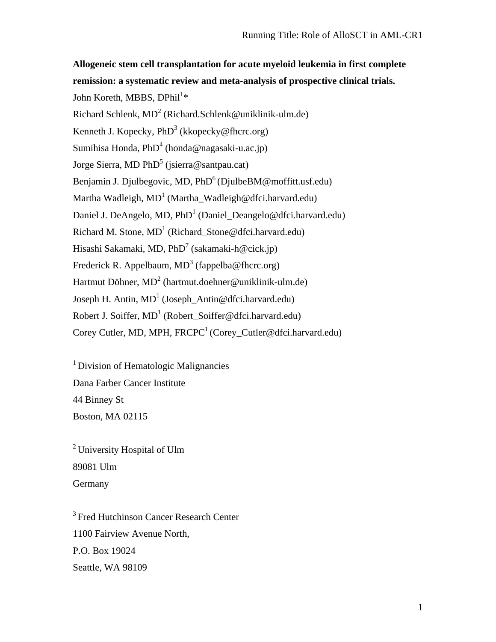**Allogeneic stem cell transplantation for acute myeloid leukemia in first complete remission: a systematic review and meta-analysis of prospective clinical trials.**  John Koreth, MBBS, DPhil $^{1\ast}$ Richard Schlenk,  $MD^2$  (Richard. Schlenk@uniklinik-ulm.de) Kenneth J. Kopecky,  $PhD<sup>3</sup>$  (kkopecky @fhcrc.org) Sumihisa Honda, PhD<sup>4</sup> (honda@nagasaki-u.ac.jp) Jorge Sierra, MD PhD<sup>5</sup> (jsierra@santpau.cat) Benjamin J. Djulbegovic, MD,  $PhD<sup>6</sup>$  (DjulbeBM@moffitt.usf.edu) Martha Wadleigh,  $MD<sup>1</sup>$  (Martha\_Wadleigh@dfci.harvard.edu) Daniel J. DeAngelo, MD, PhD<sup>1</sup> (Daniel\_Deangelo@dfci.harvard.edu) Richard M. Stone,  $MD<sup>1</sup>$  (Richard\_Stone@dfci.harvard.edu) Hisashi Sakamaki, MD, PhD<sup>7</sup> (sakamaki-h@cick.jp) Frederick R. Appelbaum,  $MD^3$  (fappelba@fhcrc.org) Hartmut Döhner, MD<sup>2</sup> (hartmut.doehner@uniklinik-ulm.de) Joseph H. Antin,  $MD<sup>1</sup>$  (Joseph\_Antin@dfci.harvard.edu) Robert J. Soiffer,  $MD<sup>1</sup>$  (Robert\_Soiffer@dfci.harvard.edu) Corey Cutler, MD, MPH,  $FRCPC<sup>1</sup>$  (Corey Cutler@dfci.harvard.edu)

<sup>1</sup> Division of Hematologic Malignancies Dana Farber Cancer Institute 44 Binney St Boston, MA 02115

2 University Hospital of Ulm 89081 Ulm **Germany** 

<sup>3</sup> Fred Hutchinson Cancer Research Center 1100 Fairview Avenue North, P.O. Box 19024 Seattle, WA 98109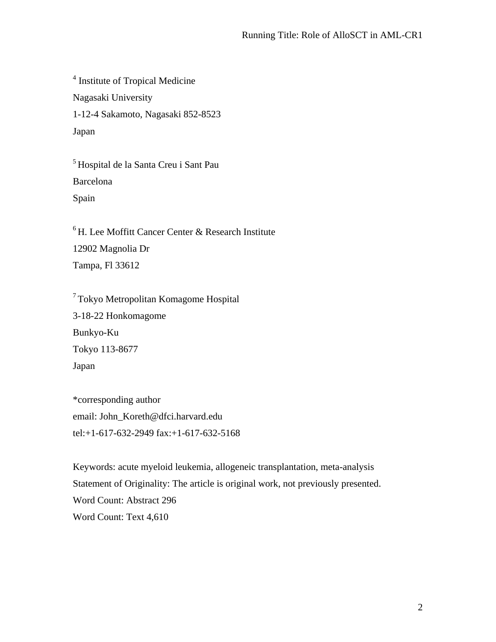4 Institute of Tropical Medicine Nagasaki University 1-12-4 Sakamoto, Nagasaki 852-8523 Japan

5 Hospital de la Santa Creu i Sant Pau Barcelona Spain

 ${}^{6}$ H. Lee Moffitt Cancer Center & Research Institute 12902 Magnolia Dr Tampa, Fl 33612

7 Tokyo Metropolitan Komagome Hospital 3-18-22 Honkomagome Bunkyo-Ku Tokyo 113-8677 Japan

\*corresponding author email: John\_Koreth@dfci.harvard.edu tel:+1-617-632-2949 fax:+1-617-632-5168

Keywords: acute myeloid leukemia, allogeneic transplantation, meta-analysis Statement of Originality: The article is original work, not previously presented. Word Count: Abstract 296 Word Count: Text 4,610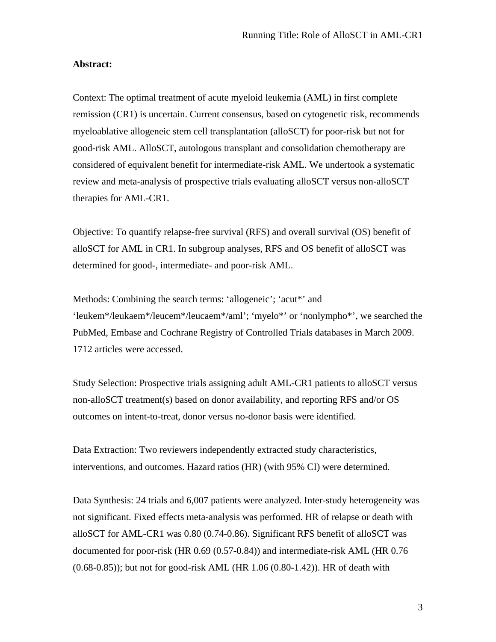### **Abstract:**

Context: The optimal treatment of acute myeloid leukemia (AML) in first complete remission (CR1) is uncertain. Current consensus, based on cytogenetic risk, recommends myeloablative allogeneic stem cell transplantation (alloSCT) for poor-risk but not for good-risk AML. AlloSCT, autologous transplant and consolidation chemotherapy are considered of equivalent benefit for intermediate-risk AML. We undertook a systematic review and meta-analysis of prospective trials evaluating alloSCT versus non-alloSCT therapies for AML-CR1.

Objective: To quantify relapse-free survival (RFS) and overall survival (OS) benefit of alloSCT for AML in CR1. In subgroup analyses, RFS and OS benefit of alloSCT was determined for good-, intermediate- and poor-risk AML.

Methods: Combining the search terms: 'allogeneic'; 'acut\*' and 'leukem\*/leukaem\*/leucem\*/leucaem\*/aml'; 'myelo\*' or 'nonlympho\*', we searched the PubMed, Embase and Cochrane Registry of Controlled Trials databases in March 2009. 1712 articles were accessed.

Study Selection: Prospective trials assigning adult AML-CR1 patients to alloSCT versus non-alloSCT treatment(s) based on donor availability, and reporting RFS and/or OS outcomes on intent-to-treat, donor versus no-donor basis were identified.

Data Extraction: Two reviewers independently extracted study characteristics, interventions, and outcomes. Hazard ratios (HR) (with 95% CI) were determined.

Data Synthesis: 24 trials and 6,007 patients were analyzed. Inter-study heterogeneity was not significant. Fixed effects meta-analysis was performed. HR of relapse or death with alloSCT for AML-CR1 was 0.80 (0.74-0.86). Significant RFS benefit of alloSCT was documented for poor-risk (HR 0.69 (0.57-0.84)) and intermediate-risk AML (HR 0.76 (0.68-0.85)); but not for good-risk AML (HR 1.06 (0.80-1.42)). HR of death with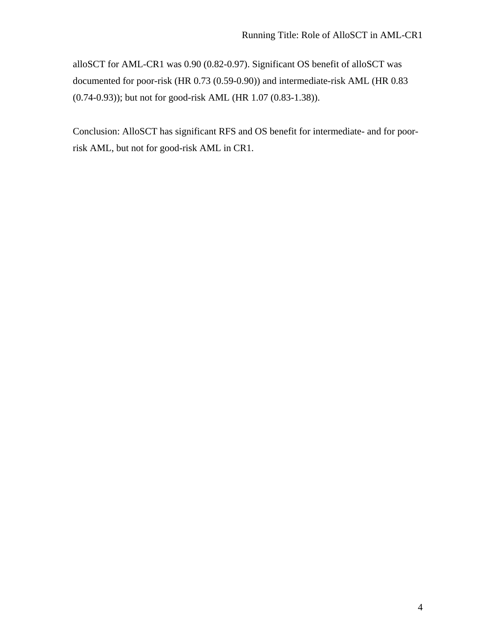alloSCT for AML-CR1 was 0.90 (0.82-0.97). Significant OS benefit of alloSCT was documented for poor-risk (HR 0.73 (0.59-0.90)) and intermediate-risk AML (HR 0.83 (0.74-0.93)); but not for good-risk AML (HR 1.07 (0.83-1.38)).

Conclusion: AlloSCT has significant RFS and OS benefit for intermediate- and for poorrisk AML, but not for good-risk AML in CR1.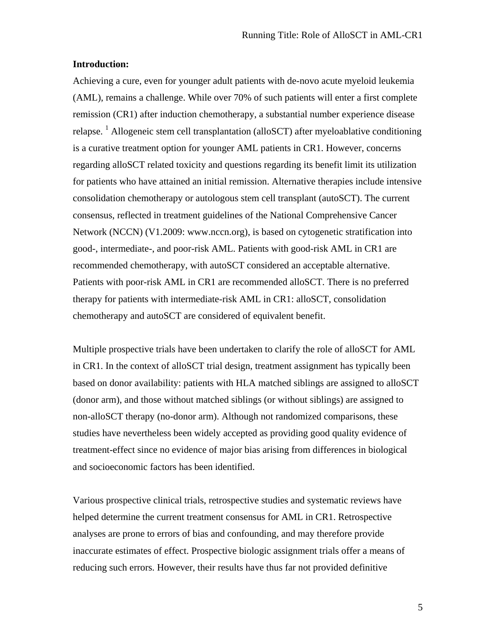### **Introduction:**

Achieving a cure, even for younger adult patients with de-novo acute myeloid leukemia (AML), remains a challenge. While over 70% of such patients will enter a first complete remission (CR1) after induction chemotherapy, a substantial number experience disease relapse. <sup>1</sup> Allogeneic stem cell transplantation (alloSCT) after myeloablative conditioning is a curative treatment option for younger AML patients in CR1. However, concerns regarding alloSCT related toxicity and questions regarding its benefit limit its utilization for patients who have attained an initial remission. Alternative therapies include intensive consolidation chemotherapy or autologous stem cell transplant (autoSCT). The current consensus, reflected in treatment guidelines of the National Comprehensive Cancer Network (NCCN) (V1.2009: www.nccn.org), is based on cytogenetic stratification into good-, intermediate-, and poor-risk AML. Patients with good-risk AML in CR1 are recommended chemotherapy, with autoSCT considered an acceptable alternative. Patients with poor-risk AML in CR1 are recommended alloSCT. There is no preferred therapy for patients with intermediate-risk AML in CR1: alloSCT, consolidation chemotherapy and autoSCT are considered of equivalent benefit.

Multiple prospective trials have been undertaken to clarify the role of alloSCT for AML in CR1. In the context of alloSCT trial design, treatment assignment has typically been based on donor availability: patients with HLA matched siblings are assigned to alloSCT (donor arm), and those without matched siblings (or without siblings) are assigned to non-alloSCT therapy (no-donor arm). Although not randomized comparisons, these studies have nevertheless been widely accepted as providing good quality evidence of treatment-effect since no evidence of major bias arising from differences in biological and socioeconomic factors has been identified.

Various prospective clinical trials, retrospective studies and systematic reviews have helped determine the current treatment consensus for AML in CR1. Retrospective analyses are prone to errors of bias and confounding, and may therefore provide inaccurate estimates of effect. Prospective biologic assignment trials offer a means of reducing such errors. However, their results have thus far not provided definitive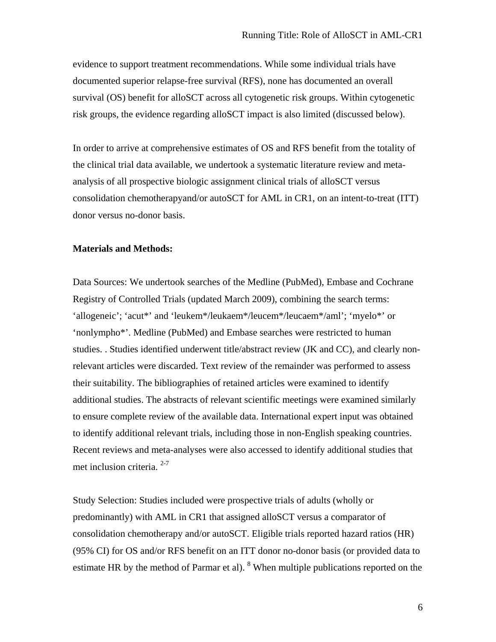evidence to support treatment recommendations. While some individual trials have documented superior relapse-free survival (RFS), none has documented an overall survival (OS) benefit for alloSCT across all cytogenetic risk groups. Within cytogenetic risk groups, the evidence regarding alloSCT impact is also limited (discussed below).

In order to arrive at comprehensive estimates of OS and RFS benefit from the totality of the clinical trial data available, we undertook a systematic literature review and metaanalysis of all prospective biologic assignment clinical trials of alloSCT versus consolidation chemotherapyand/or autoSCT for AML in CR1, on an intent-to-treat (ITT) donor versus no-donor basis.

### **Materials and Methods:**

Data Sources: We undertook searches of the Medline (PubMed), Embase and Cochrane Registry of Controlled Trials (updated March 2009), combining the search terms: 'allogeneic'; 'acut\*' and 'leukem\*/leukaem\*/leucem\*/leucaem\*/aml'; 'myelo\*' or 'nonlympho\*'. Medline (PubMed) and Embase searches were restricted to human studies. . Studies identified underwent title/abstract review (JK and CC), and clearly nonrelevant articles were discarded. Text review of the remainder was performed to assess their suitability. The bibliographies of retained articles were examined to identify additional studies. The abstracts of relevant scientific meetings were examined similarly to ensure complete review of the available data. International expert input was obtained to identify additional relevant trials, including those in non-English speaking countries. Recent reviews and meta-analyses were also accessed to identify additional studies that met inclusion criteria.  $2-7$ 

Study Selection: Studies included were prospective trials of adults (wholly or predominantly) with AML in CR1 that assigned alloSCT versus a comparator of consolidation chemotherapy and/or autoSCT. Eligible trials reported hazard ratios (HR) (95% CI) for OS and/or RFS benefit on an ITT donor no-donor basis (or provided data to estimate HR by the method of Parmar et al). <sup>8</sup> When multiple publications reported on the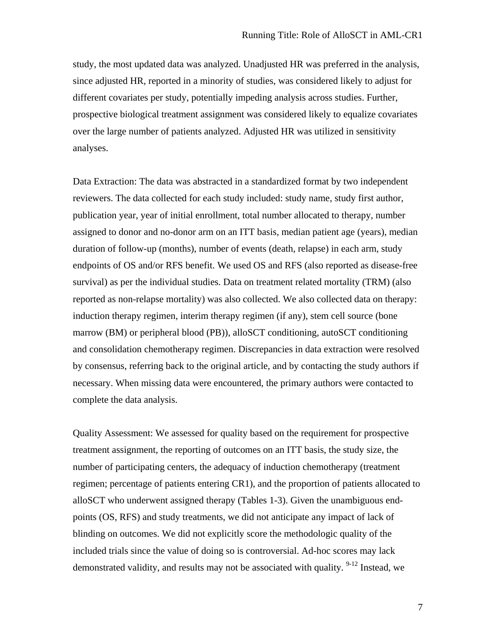study, the most updated data was analyzed. Unadjusted HR was preferred in the analysis, since adjusted HR, reported in a minority of studies, was considered likely to adjust for different covariates per study, potentially impeding analysis across studies. Further, prospective biological treatment assignment was considered likely to equalize covariates over the large number of patients analyzed. Adjusted HR was utilized in sensitivity analyses.

Data Extraction: The data was abstracted in a standardized format by two independent reviewers. The data collected for each study included: study name, study first author, publication year, year of initial enrollment, total number allocated to therapy, number assigned to donor and no-donor arm on an ITT basis, median patient age (years), median duration of follow-up (months), number of events (death, relapse) in each arm, study endpoints of OS and/or RFS benefit. We used OS and RFS (also reported as disease-free survival) as per the individual studies. Data on treatment related mortality (TRM) (also reported as non-relapse mortality) was also collected. We also collected data on therapy: induction therapy regimen, interim therapy regimen (if any), stem cell source (bone marrow (BM) or peripheral blood (PB)), alloSCT conditioning, autoSCT conditioning and consolidation chemotherapy regimen. Discrepancies in data extraction were resolved by consensus, referring back to the original article, and by contacting the study authors if necessary. When missing data were encountered, the primary authors were contacted to complete the data analysis.

Quality Assessment: We assessed for quality based on the requirement for prospective treatment assignment, the reporting of outcomes on an ITT basis, the study size, the number of participating centers, the adequacy of induction chemotherapy (treatment regimen; percentage of patients entering CR1), and the proportion of patients allocated to alloSCT who underwent assigned therapy (Tables 1-3). Given the unambiguous endpoints (OS, RFS) and study treatments, we did not anticipate any impact of lack of blinding on outcomes. We did not explicitly score the methodologic quality of the included trials since the value of doing so is controversial. Ad-hoc scores may lack demonstrated validity, and results may not be associated with quality.  $9-12$  Instead, we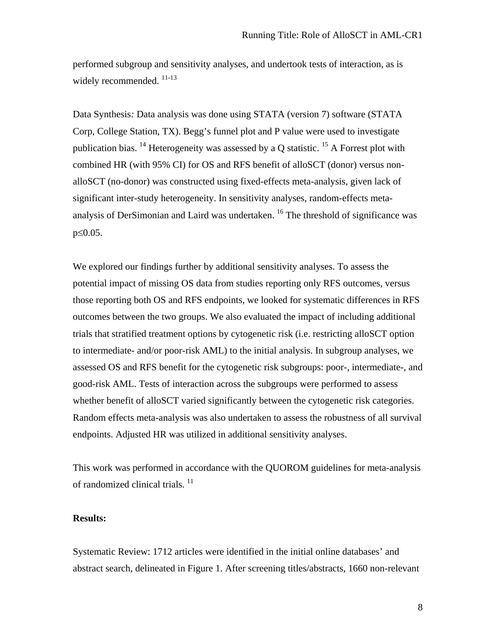performed subgroup and sensitivity analyses, and undertook tests of interaction, as is widely recommended.  $^{11-13}$ 

Data Synthesis*:* Data analysis was done using STATA (version 7) software (STATA Corp, College Station, TX). Begg's funnel plot and P value were used to investigate publication bias. <sup>14</sup> Heterogeneity was assessed by a Q statistic. <sup>15</sup> A Forrest plot with combined HR (with 95% CI) for OS and RFS benefit of alloSCT (donor) versus nonalloSCT (no-donor) was constructed using fixed-effects meta-analysis, given lack of significant inter-study heterogeneity. In sensitivity analyses, random-effects metaanalysis of DerSimonian and Laird was undertaken. 16 The threshold of significance was p≤0.05.

We explored our findings further by additional sensitivity analyses. To assess the potential impact of missing OS data from studies reporting only RFS outcomes, versus those reporting both OS and RFS endpoints, we looked for systematic differences in RFS outcomes between the two groups. We also evaluated the impact of including additional trials that stratified treatment options by cytogenetic risk (i.e. restricting alloSCT option to intermediate- and/or poor-risk AML) to the initial analysis. In subgroup analyses, we assessed OS and RFS benefit for the cytogenetic risk subgroups: poor-, intermediate-, and good-risk AML. Tests of interaction across the subgroups were performed to assess whether benefit of alloSCT varied significantly between the cytogenetic risk categories. Random effects meta-analysis was also undertaken to assess the robustness of all survival endpoints. Adjusted HR was utilized in additional sensitivity analyses.

This work was performed in accordance with the QUOROM guidelines for meta-analysis of randomized clinical trials.<sup>11</sup>

### **Results:**

Systematic Review: 1712 articles were identified in the initial online databases' and abstract search, delineated in Figure 1. After screening titles/abstracts, 1660 non-relevant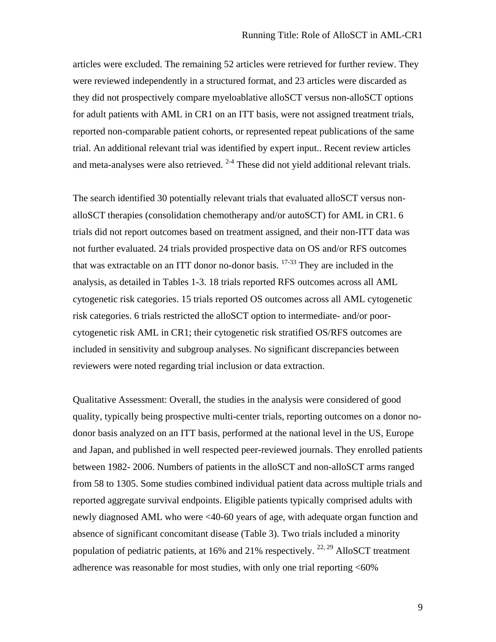articles were excluded. The remaining 52 articles were retrieved for further review. They were reviewed independently in a structured format, and 23 articles were discarded as they did not prospectively compare myeloablative alloSCT versus non-alloSCT options for adult patients with AML in CR1 on an ITT basis, were not assigned treatment trials, reported non-comparable patient cohorts, or represented repeat publications of the same trial. An additional relevant trial was identified by expert input.. Recent review articles and meta-analyses were also retrieved.  $2-4$  These did not yield additional relevant trials.

The search identified 30 potentially relevant trials that evaluated alloSCT versus nonalloSCT therapies (consolidation chemotherapy and/or autoSCT) for AML in CR1. 6 trials did not report outcomes based on treatment assigned, and their non-ITT data was not further evaluated. 24 trials provided prospective data on OS and/or RFS outcomes that was extractable on an ITT donor no-donor basis.  $17-33$  They are included in the analysis, as detailed in Tables 1-3. 18 trials reported RFS outcomes across all AML cytogenetic risk categories. 15 trials reported OS outcomes across all AML cytogenetic risk categories. 6 trials restricted the alloSCT option to intermediate- and/or poorcytogenetic risk AML in CR1; their cytogenetic risk stratified OS/RFS outcomes are included in sensitivity and subgroup analyses. No significant discrepancies between reviewers were noted regarding trial inclusion or data extraction.

Qualitative Assessment: Overall, the studies in the analysis were considered of good quality, typically being prospective multi-center trials, reporting outcomes on a donor nodonor basis analyzed on an ITT basis, performed at the national level in the US, Europe and Japan, and published in well respected peer-reviewed journals. They enrolled patients between 1982- 2006. Numbers of patients in the alloSCT and non-alloSCT arms ranged from 58 to 1305. Some studies combined individual patient data across multiple trials and reported aggregate survival endpoints. Eligible patients typically comprised adults with newly diagnosed AML who were <40-60 years of age, with adequate organ function and absence of significant concomitant disease (Table 3). Two trials included a minority population of pediatric patients, at 16% and 21% respectively. <sup>22, 29</sup> AlloSCT treatment adherence was reasonable for most studies, with only one trial reporting <60%

9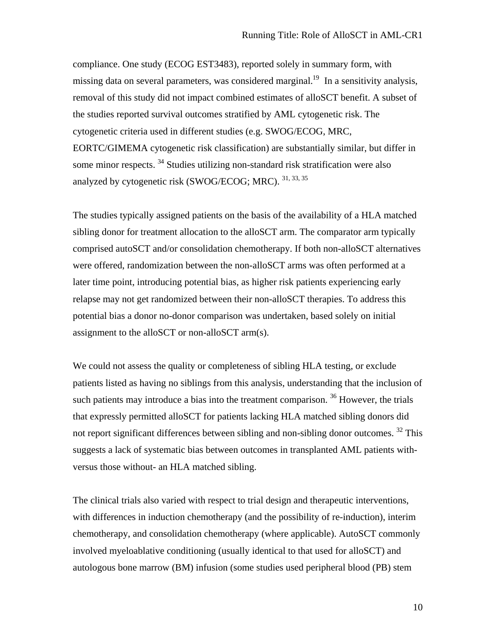compliance. One study (ECOG EST3483), reported solely in summary form, with missing data on several parameters, was considered marginal.<sup>19</sup> In a sensitivity analysis, removal of this study did not impact combined estimates of alloSCT benefit. A subset of the studies reported survival outcomes stratified by AML cytogenetic risk. The cytogenetic criteria used in different studies (e.g. SWOG/ECOG, MRC, EORTC/GIMEMA cytogenetic risk classification) are substantially similar, but differ in some minor respects.  $34$  Studies utilizing non-standard risk stratification were also analyzed by cytogenetic risk (SWOG/ECOG; MRC).  $31, 33, 35$ 

The studies typically assigned patients on the basis of the availability of a HLA matched sibling donor for treatment allocation to the alloSCT arm. The comparator arm typically comprised autoSCT and/or consolidation chemotherapy. If both non-alloSCT alternatives were offered, randomization between the non-alloSCT arms was often performed at a later time point, introducing potential bias, as higher risk patients experiencing early relapse may not get randomized between their non-alloSCT therapies. To address this potential bias a donor no-donor comparison was undertaken, based solely on initial assignment to the alloSCT or non-alloSCT arm(s).

We could not assess the quality or completeness of sibling HLA testing, or exclude patients listed as having no siblings from this analysis, understanding that the inclusion of such patients may introduce a bias into the treatment comparison.  $36$  However, the trials that expressly permitted alloSCT for patients lacking HLA matched sibling donors did not report significant differences between sibling and non-sibling donor outcomes. <sup>32</sup> This suggests a lack of systematic bias between outcomes in transplanted AML patients withversus those without- an HLA matched sibling.

The clinical trials also varied with respect to trial design and therapeutic interventions, with differences in induction chemotherapy (and the possibility of re-induction), interim chemotherapy, and consolidation chemotherapy (where applicable). AutoSCT commonly involved myeloablative conditioning (usually identical to that used for alloSCT) and autologous bone marrow (BM) infusion (some studies used peripheral blood (PB) stem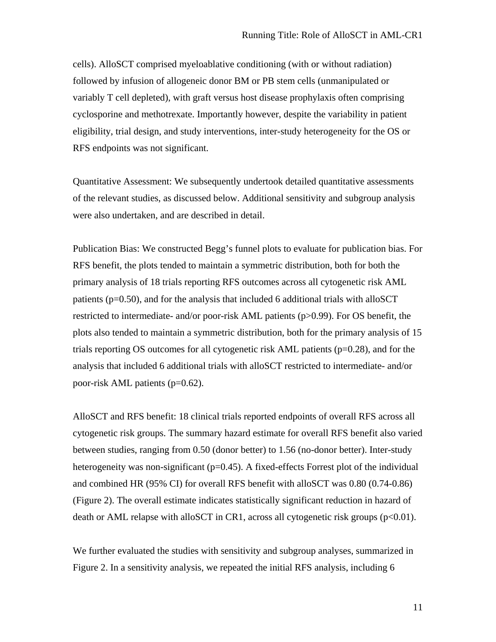cells). AlloSCT comprised myeloablative conditioning (with or without radiation) followed by infusion of allogeneic donor BM or PB stem cells (unmanipulated or variably T cell depleted), with graft versus host disease prophylaxis often comprising cyclosporine and methotrexate. Importantly however, despite the variability in patient eligibility, trial design, and study interventions, inter-study heterogeneity for the OS or RFS endpoints was not significant.

Quantitative Assessment: We subsequently undertook detailed quantitative assessments of the relevant studies, as discussed below. Additional sensitivity and subgroup analysis were also undertaken, and are described in detail.

Publication Bias: We constructed Begg's funnel plots to evaluate for publication bias. For RFS benefit, the plots tended to maintain a symmetric distribution, both for both the primary analysis of 18 trials reporting RFS outcomes across all cytogenetic risk AML patients ( $p=0.50$ ), and for the analysis that included 6 additional trials with alloSCT restricted to intermediate- and/or poor-risk AML patients (p>0.99). For OS benefit, the plots also tended to maintain a symmetric distribution, both for the primary analysis of 15 trials reporting OS outcomes for all cytogenetic risk AML patients (p=0.28), and for the analysis that included 6 additional trials with alloSCT restricted to intermediate- and/or poor-risk AML patients (p=0.62).

AlloSCT and RFS benefit: 18 clinical trials reported endpoints of overall RFS across all cytogenetic risk groups. The summary hazard estimate for overall RFS benefit also varied between studies, ranging from 0.50 (donor better) to 1.56 (no-donor better). Inter-study heterogeneity was non-significant  $(p=0.45)$ . A fixed-effects Forrest plot of the individual and combined HR (95% CI) for overall RFS benefit with alloSCT was 0.80 (0.74-0.86) (Figure 2). The overall estimate indicates statistically significant reduction in hazard of death or AML relapse with alloSCT in CR1, across all cytogenetic risk groups  $(p<0.01)$ .

We further evaluated the studies with sensitivity and subgroup analyses, summarized in Figure 2. In a sensitivity analysis, we repeated the initial RFS analysis, including 6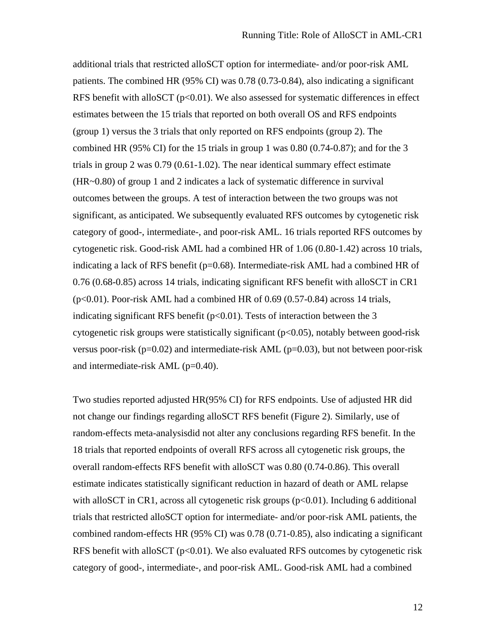additional trials that restricted alloSCT option for intermediate- and/or poor-risk AML patients. The combined HR (95% CI) was 0.78 (0.73-0.84), also indicating a significant RFS benefit with alloSCT  $(p<0.01)$ . We also assessed for systematic differences in effect estimates between the 15 trials that reported on both overall OS and RFS endpoints (group 1) versus the 3 trials that only reported on RFS endpoints (group 2). The combined HR (95% CI) for the 15 trials in group 1 was 0.80 (0.74-0.87); and for the 3 trials in group 2 was 0.79 (0.61-1.02). The near identical summary effect estimate (HR~0.80) of group 1 and 2 indicates a lack of systematic difference in survival outcomes between the groups. A test of interaction between the two groups was not significant, as anticipated. We subsequently evaluated RFS outcomes by cytogenetic risk category of good-, intermediate-, and poor-risk AML. 16 trials reported RFS outcomes by cytogenetic risk. Good-risk AML had a combined HR of 1.06 (0.80-1.42) across 10 trials, indicating a lack of RFS benefit (p=0.68). Intermediate-risk AML had a combined HR of 0.76 (0.68-0.85) across 14 trials, indicating significant RFS benefit with alloSCT in CR1  $(p<0.01)$ . Poor-risk AML had a combined HR of 0.69 (0.57-0.84) across 14 trials, indicating significant RFS benefit ( $p<0.01$ ). Tests of interaction between the 3 cytogenetic risk groups were statistically significant  $(p<0.05)$ , notably between good-risk versus poor-risk ( $p=0.02$ ) and intermediate-risk AML ( $p=0.03$ ), but not between poor-risk and intermediate-risk AML (p=0.40).

Two studies reported adjusted HR(95% CI) for RFS endpoints. Use of adjusted HR did not change our findings regarding alloSCT RFS benefit (Figure 2). Similarly, use of random-effects meta-analysisdid not alter any conclusions regarding RFS benefit. In the 18 trials that reported endpoints of overall RFS across all cytogenetic risk groups, the overall random-effects RFS benefit with alloSCT was 0.80 (0.74-0.86). This overall estimate indicates statistically significant reduction in hazard of death or AML relapse with alloSCT in CR1, across all cytogenetic risk groups  $(p<0.01)$ . Including 6 additional trials that restricted alloSCT option for intermediate- and/or poor-risk AML patients, the combined random-effects HR (95% CI) was 0.78 (0.71-0.85), also indicating a significant RFS benefit with alloSCT ( $p<0.01$ ). We also evaluated RFS outcomes by cytogenetic risk category of good-, intermediate-, and poor-risk AML. Good-risk AML had a combined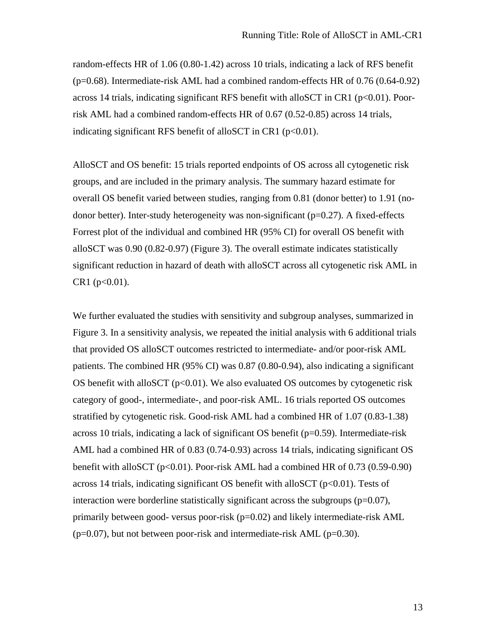random-effects HR of 1.06 (0.80-1.42) across 10 trials, indicating a lack of RFS benefit (p=0.68). Intermediate-risk AML had a combined random-effects HR of 0.76 (0.64-0.92) across 14 trials, indicating significant RFS benefit with alloSCT in CR1 ( $p<0.01$ ). Poorrisk AML had a combined random-effects HR of 0.67 (0.52-0.85) across 14 trials, indicating significant RFS benefit of alloSCT in CR1 ( $p<0.01$ ).

AlloSCT and OS benefit: 15 trials reported endpoints of OS across all cytogenetic risk groups, and are included in the primary analysis. The summary hazard estimate for overall OS benefit varied between studies, ranging from 0.81 (donor better) to 1.91 (nodonor better). Inter-study heterogeneity was non-significant ( $p=0.27$ ). A fixed-effects Forrest plot of the individual and combined HR (95% CI) for overall OS benefit with alloSCT was 0.90 (0.82-0.97) (Figure 3). The overall estimate indicates statistically significant reduction in hazard of death with alloSCT across all cytogenetic risk AML in  $CR1 (p<0.01)$ .

We further evaluated the studies with sensitivity and subgroup analyses, summarized in Figure 3. In a sensitivity analysis, we repeated the initial analysis with 6 additional trials that provided OS alloSCT outcomes restricted to intermediate- and/or poor-risk AML patients. The combined HR (95% CI) was 0.87 (0.80-0.94), also indicating a significant OS benefit with alloSCT  $(p<0.01)$ . We also evaluated OS outcomes by cytogenetic risk category of good-, intermediate-, and poor-risk AML. 16 trials reported OS outcomes stratified by cytogenetic risk. Good-risk AML had a combined HR of 1.07 (0.83-1.38) across 10 trials, indicating a lack of significant OS benefit ( $p=0.59$ ). Intermediate-risk AML had a combined HR of 0.83 (0.74-0.93) across 14 trials, indicating significant OS benefit with alloSCT ( $p<0.01$ ). Poor-risk AML had a combined HR of 0.73 (0.59-0.90) across 14 trials, indicating significant OS benefit with alloSCT ( $p<0.01$ ). Tests of interaction were borderline statistically significant across the subgroups  $(p=0.07)$ , primarily between good- versus poor-risk (p=0.02) and likely intermediate-risk AML  $(p=0.07)$ , but not between poor-risk and intermediate-risk AML ( $p=0.30$ ).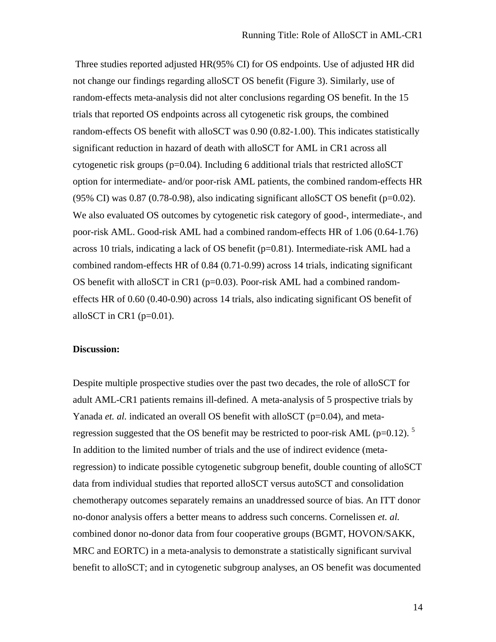Three studies reported adjusted HR(95% CI) for OS endpoints. Use of adjusted HR did not change our findings regarding alloSCT OS benefit (Figure 3). Similarly, use of random-effects meta-analysis did not alter conclusions regarding OS benefit. In the 15 trials that reported OS endpoints across all cytogenetic risk groups, the combined random-effects OS benefit with alloSCT was 0.90 (0.82-1.00). This indicates statistically significant reduction in hazard of death with alloSCT for AML in CR1 across all cytogenetic risk groups (p=0.04). Including 6 additional trials that restricted alloSCT option for intermediate- and/or poor-risk AML patients, the combined random-effects HR (95% CI) was 0.87 (0.78-0.98), also indicating significant alloSCT OS benefit ( $p=0.02$ ). We also evaluated OS outcomes by cytogenetic risk category of good-, intermediate-, and poor-risk AML. Good-risk AML had a combined random-effects HR of 1.06 (0.64-1.76) across 10 trials, indicating a lack of OS benefit (p=0.81). Intermediate-risk AML had a combined random-effects HR of 0.84 (0.71-0.99) across 14 trials, indicating significant OS benefit with alloSCT in CR1 (p=0.03). Poor-risk AML had a combined randomeffects HR of 0.60 (0.40-0.90) across 14 trials, also indicating significant OS benefit of alloSCT in CR1 ( $p=0.01$ ).

#### **Discussion:**

Despite multiple prospective studies over the past two decades, the role of alloSCT for adult AML-CR1 patients remains ill-defined. A meta-analysis of 5 prospective trials by Yanada *et. al.* indicated an overall OS benefit with alloSCT ( $p=0.04$ ), and metaregression suggested that the OS benefit may be restricted to poor-risk AML ( $p=0.12$ ). <sup>5</sup> In addition to the limited number of trials and the use of indirect evidence (metaregression) to indicate possible cytogenetic subgroup benefit, double counting of alloSCT data from individual studies that reported alloSCT versus autoSCT and consolidation chemotherapy outcomes separately remains an unaddressed source of bias. An ITT donor no-donor analysis offers a better means to address such concerns. Cornelissen *et. al.* combined donor no-donor data from four cooperative groups (BGMT, HOVON/SAKK, MRC and EORTC) in a meta-analysis to demonstrate a statistically significant survival benefit to alloSCT; and in cytogenetic subgroup analyses, an OS benefit was documented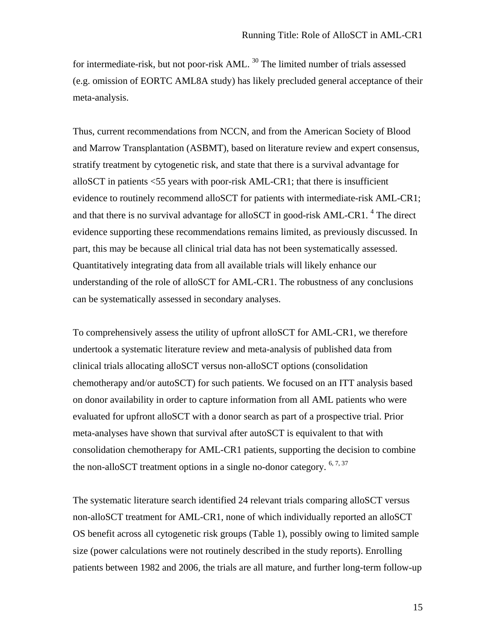for intermediate-risk, but not poor-risk AML.<sup>30</sup> The limited number of trials assessed (e.g. omission of EORTC AML8A study) has likely precluded general acceptance of their meta-analysis.

Thus, current recommendations from NCCN, and from the American Society of Blood and Marrow Transplantation (ASBMT), based on literature review and expert consensus, stratify treatment by cytogenetic risk, and state that there is a survival advantage for alloSCT in patients <55 years with poor-risk AML-CR1; that there is insufficient evidence to routinely recommend alloSCT for patients with intermediate-risk AML-CR1; and that there is no survival advantage for alloSCT in good-risk AML-CR1.<sup>4</sup> The direct evidence supporting these recommendations remains limited, as previously discussed. In part, this may be because all clinical trial data has not been systematically assessed. Quantitatively integrating data from all available trials will likely enhance our understanding of the role of alloSCT for AML-CR1. The robustness of any conclusions can be systematically assessed in secondary analyses.

To comprehensively assess the utility of upfront alloSCT for AML-CR1, we therefore undertook a systematic literature review and meta-analysis of published data from clinical trials allocating alloSCT versus non-alloSCT options (consolidation chemotherapy and/or autoSCT) for such patients. We focused on an ITT analysis based on donor availability in order to capture information from all AML patients who were evaluated for upfront alloSCT with a donor search as part of a prospective trial. Prior meta-analyses have shown that survival after autoSCT is equivalent to that with consolidation chemotherapy for AML-CR1 patients, supporting the decision to combine the non-alloSCT treatment options in a single no-donor category.  $6, 7, 37$ 

The systematic literature search identified 24 relevant trials comparing alloSCT versus non-alloSCT treatment for AML-CR1, none of which individually reported an alloSCT OS benefit across all cytogenetic risk groups (Table 1), possibly owing to limited sample size (power calculations were not routinely described in the study reports). Enrolling patients between 1982 and 2006, the trials are all mature, and further long-term follow-up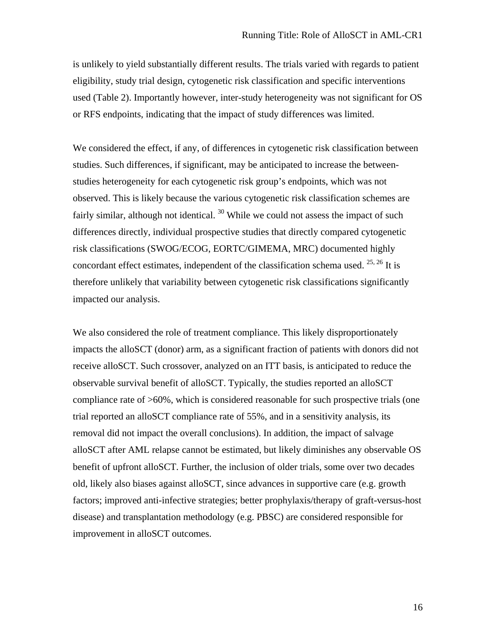is unlikely to yield substantially different results. The trials varied with regards to patient eligibility, study trial design, cytogenetic risk classification and specific interventions used (Table 2). Importantly however, inter-study heterogeneity was not significant for OS or RFS endpoints, indicating that the impact of study differences was limited.

We considered the effect, if any, of differences in cytogenetic risk classification between studies. Such differences, if significant, may be anticipated to increase the betweenstudies heterogeneity for each cytogenetic risk group's endpoints, which was not observed. This is likely because the various cytogenetic risk classification schemes are fairly similar, although not identical.  $30$  While we could not assess the impact of such differences directly, individual prospective studies that directly compared cytogenetic risk classifications (SWOG/ECOG, EORTC/GIMEMA, MRC) documented highly concordant effect estimates, independent of the classification schema used.  $^{25, 26}$  It is therefore unlikely that variability between cytogenetic risk classifications significantly impacted our analysis.

We also considered the role of treatment compliance. This likely disproportionately impacts the alloSCT (donor) arm, as a significant fraction of patients with donors did not receive alloSCT. Such crossover, analyzed on an ITT basis, is anticipated to reduce the observable survival benefit of alloSCT. Typically, the studies reported an alloSCT compliance rate of >60%, which is considered reasonable for such prospective trials (one trial reported an alloSCT compliance rate of 55%, and in a sensitivity analysis, its removal did not impact the overall conclusions). In addition, the impact of salvage alloSCT after AML relapse cannot be estimated, but likely diminishes any observable OS benefit of upfront alloSCT. Further, the inclusion of older trials, some over two decades old, likely also biases against alloSCT, since advances in supportive care (e.g. growth factors; improved anti-infective strategies; better prophylaxis/therapy of graft-versus-host disease) and transplantation methodology (e.g. PBSC) are considered responsible for improvement in alloSCT outcomes.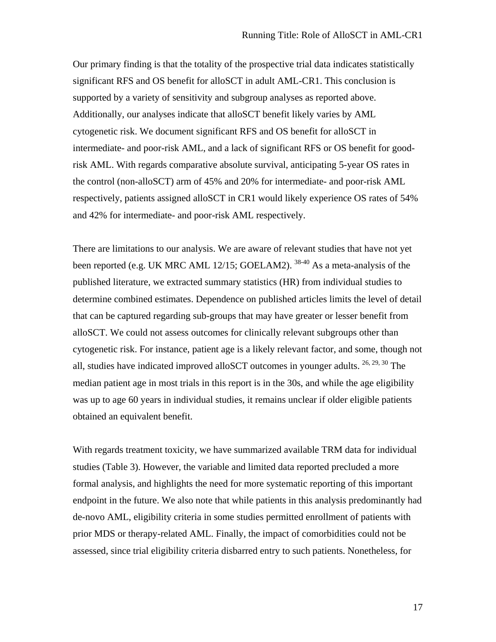Our primary finding is that the totality of the prospective trial data indicates statistically significant RFS and OS benefit for alloSCT in adult AML-CR1. This conclusion is supported by a variety of sensitivity and subgroup analyses as reported above. Additionally, our analyses indicate that alloSCT benefit likely varies by AML cytogenetic risk. We document significant RFS and OS benefit for alloSCT in intermediate- and poor-risk AML, and a lack of significant RFS or OS benefit for goodrisk AML. With regards comparative absolute survival, anticipating 5-year OS rates in the control (non-alloSCT) arm of 45% and 20% for intermediate- and poor-risk AML respectively, patients assigned alloSCT in CR1 would likely experience OS rates of 54% and 42% for intermediate- and poor-risk AML respectively.

There are limitations to our analysis. We are aware of relevant studies that have not yet been reported (e.g. UK MRC AML 12/15; GOELAM2).  $38-40$  As a meta-analysis of the published literature, we extracted summary statistics (HR) from individual studies to determine combined estimates. Dependence on published articles limits the level of detail that can be captured regarding sub-groups that may have greater or lesser benefit from alloSCT. We could not assess outcomes for clinically relevant subgroups other than cytogenetic risk. For instance, patient age is a likely relevant factor, and some, though not all, studies have indicated improved alloSCT outcomes in younger adults. 26, 29, 30 The median patient age in most trials in this report is in the 30s, and while the age eligibility was up to age 60 years in individual studies, it remains unclear if older eligible patients obtained an equivalent benefit.

With regards treatment toxicity, we have summarized available TRM data for individual studies (Table 3). However, the variable and limited data reported precluded a more formal analysis, and highlights the need for more systematic reporting of this important endpoint in the future. We also note that while patients in this analysis predominantly had de-novo AML, eligibility criteria in some studies permitted enrollment of patients with prior MDS or therapy-related AML. Finally, the impact of comorbidities could not be assessed, since trial eligibility criteria disbarred entry to such patients. Nonetheless, for

17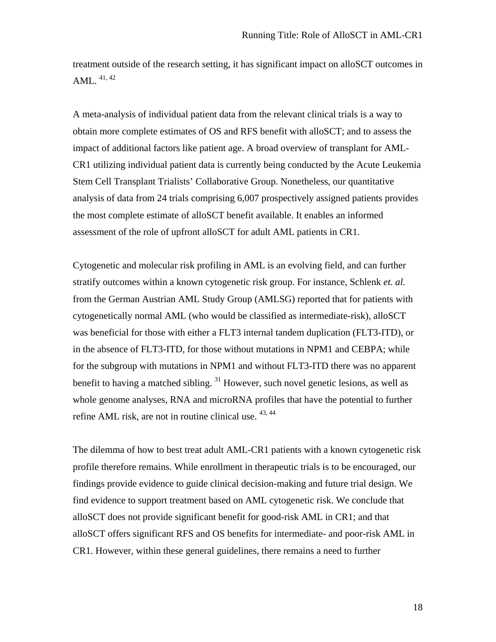treatment outside of the research setting, it has significant impact on alloSCT outcomes in AML.  $41, 42$ 

A meta-analysis of individual patient data from the relevant clinical trials is a way to obtain more complete estimates of OS and RFS benefit with alloSCT; and to assess the impact of additional factors like patient age. A broad overview of transplant for AML-CR1 utilizing individual patient data is currently being conducted by the Acute Leukemia Stem Cell Transplant Trialists' Collaborative Group. Nonetheless, our quantitative analysis of data from 24 trials comprising 6,007 prospectively assigned patients provides the most complete estimate of alloSCT benefit available. It enables an informed assessment of the role of upfront alloSCT for adult AML patients in CR1.

Cytogenetic and molecular risk profiling in AML is an evolving field, and can further stratify outcomes within a known cytogenetic risk group. For instance, Schlenk *et. al.* from the German Austrian AML Study Group (AMLSG) reported that for patients with cytogenetically normal AML (who would be classified as intermediate-risk), alloSCT was beneficial for those with either a FLT3 internal tandem duplication (FLT3-ITD), or in the absence of FLT3-ITD, for those without mutations in NPM1 and CEBPA; while for the subgroup with mutations in NPM1 and without FLT3-ITD there was no apparent benefit to having a matched sibling. <sup>31</sup> However, such novel genetic lesions, as well as whole genome analyses, RNA and microRNA profiles that have the potential to further refine AML risk, are not in routine clinical use.  $43,44$ 

The dilemma of how to best treat adult AML-CR1 patients with a known cytogenetic risk profile therefore remains. While enrollment in therapeutic trials is to be encouraged, our findings provide evidence to guide clinical decision-making and future trial design. We find evidence to support treatment based on AML cytogenetic risk. We conclude that alloSCT does not provide significant benefit for good-risk AML in CR1; and that alloSCT offers significant RFS and OS benefits for intermediate- and poor-risk AML in CR1. However, within these general guidelines, there remains a need to further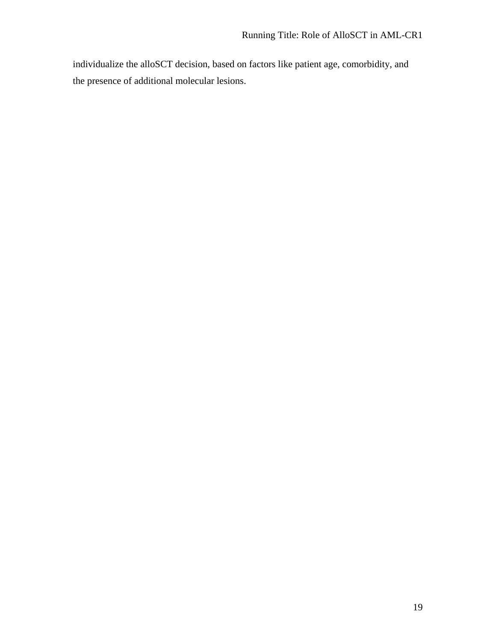individualize the alloSCT decision, based on factors like patient age, comorbidity, and the presence of additional molecular lesions.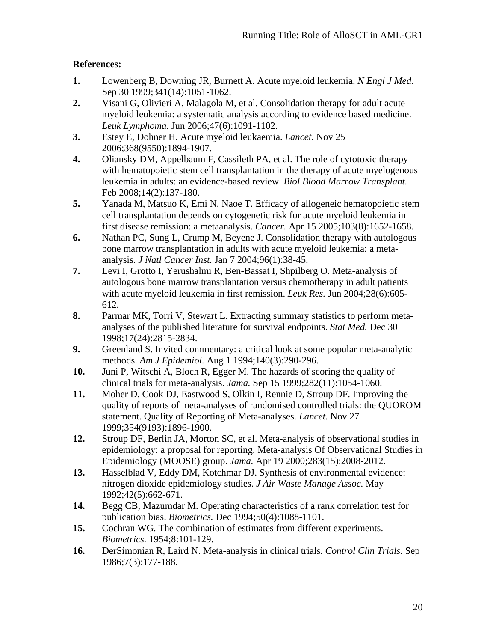## **References:**

- **1.** Lowenberg B, Downing JR, Burnett A. Acute myeloid leukemia. *N Engl J Med.*  Sep 30 1999;341(14):1051-1062.
- **2.** Visani G, Olivieri A, Malagola M, et al. Consolidation therapy for adult acute myeloid leukemia: a systematic analysis according to evidence based medicine. *Leuk Lymphoma.* Jun 2006;47(6):1091-1102.
- **3.** Estey E, Dohner H. Acute myeloid leukaemia. *Lancet.* Nov 25 2006;368(9550):1894-1907.
- **4.** Oliansky DM, Appelbaum F, Cassileth PA, et al. The role of cytotoxic therapy with hematopoietic stem cell transplantation in the therapy of acute myelogenous leukemia in adults: an evidence-based review. *Biol Blood Marrow Transplant.*  Feb 2008;14(2):137-180.
- **5.** Yanada M, Matsuo K, Emi N, Naoe T. Efficacy of allogeneic hematopoietic stem cell transplantation depends on cytogenetic risk for acute myeloid leukemia in first disease remission: a metaanalysis. *Cancer.* Apr 15 2005;103(8):1652-1658.
- **6.** Nathan PC, Sung L, Crump M, Beyene J. Consolidation therapy with autologous bone marrow transplantation in adults with acute myeloid leukemia: a metaanalysis. *J Natl Cancer Inst.* Jan 7 2004;96(1):38-45.
- **7.** Levi I, Grotto I, Yerushalmi R, Ben-Bassat I, Shpilberg O. Meta-analysis of autologous bone marrow transplantation versus chemotherapy in adult patients with acute myeloid leukemia in first remission. *Leuk Res.* Jun 2004;28(6):605- 612.
- **8.** Parmar MK, Torri V, Stewart L. Extracting summary statistics to perform metaanalyses of the published literature for survival endpoints. *Stat Med.* Dec 30 1998;17(24):2815-2834.
- **9.** Greenland S. Invited commentary: a critical look at some popular meta-analytic methods. *Am J Epidemiol.* Aug 1 1994;140(3):290-296.
- **10.** Juni P, Witschi A, Bloch R, Egger M. The hazards of scoring the quality of clinical trials for meta-analysis. *Jama.* Sep 15 1999;282(11):1054-1060.
- **11.** Moher D, Cook DJ, Eastwood S, Olkin I, Rennie D, Stroup DF. Improving the quality of reports of meta-analyses of randomised controlled trials: the QUOROM statement. Quality of Reporting of Meta-analyses. *Lancet.* Nov 27 1999;354(9193):1896-1900.
- **12.** Stroup DF, Berlin JA, Morton SC, et al. Meta-analysis of observational studies in epidemiology: a proposal for reporting. Meta-analysis Of Observational Studies in Epidemiology (MOOSE) group. *Jama.* Apr 19 2000;283(15):2008-2012.
- **13.** Hasselblad V, Eddy DM, Kotchmar DJ. Synthesis of environmental evidence: nitrogen dioxide epidemiology studies. *J Air Waste Manage Assoc.* May 1992;42(5):662-671.
- **14.** Begg CB, Mazumdar M. Operating characteristics of a rank correlation test for publication bias. *Biometrics.* Dec 1994;50(4):1088-1101.
- **15.** Cochran WG. The combination of estimates from different experiments. *Biometrics.* 1954;8:101-129.
- **16.** DerSimonian R, Laird N. Meta-analysis in clinical trials. *Control Clin Trials.* Sep 1986;7(3):177-188.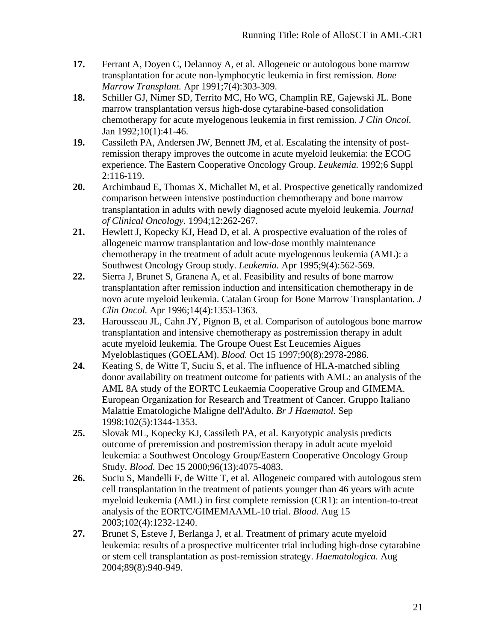- **17.** Ferrant A, Doyen C, Delannoy A, et al. Allogeneic or autologous bone marrow transplantation for acute non-lymphocytic leukemia in first remission. *Bone Marrow Transplant.* Apr 1991;7(4):303-309.
- **18.** Schiller GJ, Nimer SD, Territo MC, Ho WG, Champlin RE, Gajewski JL. Bone marrow transplantation versus high-dose cytarabine-based consolidation chemotherapy for acute myelogenous leukemia in first remission. *J Clin Oncol.*  Jan 1992;10(1):41-46.
- **19.** Cassileth PA, Andersen JW, Bennett JM, et al. Escalating the intensity of postremission therapy improves the outcome in acute myeloid leukemia: the ECOG experience. The Eastern Cooperative Oncology Group. *Leukemia.* 1992;6 Suppl 2:116-119.
- **20.** Archimbaud E, Thomas X, Michallet M, et al. Prospective genetically randomized comparison between intensive postinduction chemotherapy and bone marrow transplantation in adults with newly diagnosed acute myeloid leukemia. *Journal of Clinical Oncology.* 1994;12:262-267.
- **21.** Hewlett J, Kopecky KJ, Head D, et al. A prospective evaluation of the roles of allogeneic marrow transplantation and low-dose monthly maintenance chemotherapy in the treatment of adult acute myelogenous leukemia (AML): a Southwest Oncology Group study. *Leukemia.* Apr 1995;9(4):562-569.
- **22.** Sierra J, Brunet S, Granena A, et al. Feasibility and results of bone marrow transplantation after remission induction and intensification chemotherapy in de novo acute myeloid leukemia. Catalan Group for Bone Marrow Transplantation. *J Clin Oncol.* Apr 1996;14(4):1353-1363.
- **23.** Harousseau JL, Cahn JY, Pignon B, et al. Comparison of autologous bone marrow transplantation and intensive chemotherapy as postremission therapy in adult acute myeloid leukemia. The Groupe Ouest Est Leucemies Aigues Myeloblastiques (GOELAM). *Blood.* Oct 15 1997;90(8):2978-2986.
- **24.** Keating S, de Witte T, Suciu S, et al. The influence of HLA-matched sibling donor availability on treatment outcome for patients with AML: an analysis of the AML 8A study of the EORTC Leukaemia Cooperative Group and GIMEMA. European Organization for Research and Treatment of Cancer. Gruppo Italiano Malattie Ematologiche Maligne dell'Adulto. *Br J Haematol.* Sep 1998;102(5):1344-1353.
- **25.** Slovak ML, Kopecky KJ, Cassileth PA, et al. Karyotypic analysis predicts outcome of preremission and postremission therapy in adult acute myeloid leukemia: a Southwest Oncology Group/Eastern Cooperative Oncology Group Study. *Blood.* Dec 15 2000;96(13):4075-4083.
- **26.** Suciu S, Mandelli F, de Witte T, et al. Allogeneic compared with autologous stem cell transplantation in the treatment of patients younger than 46 years with acute myeloid leukemia (AML) in first complete remission (CR1): an intention-to-treat analysis of the EORTC/GIMEMAAML-10 trial. *Blood.* Aug 15 2003;102(4):1232-1240.
- **27.** Brunet S, Esteve J, Berlanga J, et al. Treatment of primary acute myeloid leukemia: results of a prospective multicenter trial including high-dose cytarabine or stem cell transplantation as post-remission strategy. *Haematologica.* Aug 2004;89(8):940-949.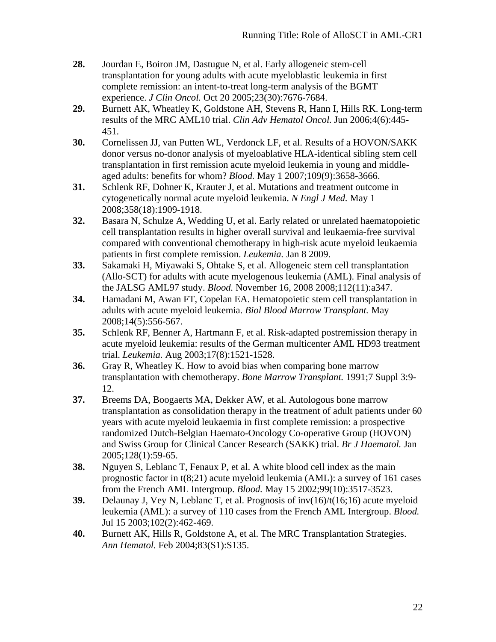- **28.** Jourdan E, Boiron JM, Dastugue N, et al. Early allogeneic stem-cell transplantation for young adults with acute myeloblastic leukemia in first complete remission: an intent-to-treat long-term analysis of the BGMT experience. *J Clin Oncol.* Oct 20 2005;23(30):7676-7684.
- **29.** Burnett AK, Wheatley K, Goldstone AH, Stevens R, Hann I, Hills RK. Long-term results of the MRC AML10 trial. *Clin Adv Hematol Oncol.* Jun 2006;4(6):445- 451.
- **30.** Cornelissen JJ, van Putten WL, Verdonck LF, et al. Results of a HOVON/SAKK donor versus no-donor analysis of myeloablative HLA-identical sibling stem cell transplantation in first remission acute myeloid leukemia in young and middleaged adults: benefits for whom? *Blood.* May 1 2007;109(9):3658-3666.
- **31.** Schlenk RF, Dohner K, Krauter J, et al. Mutations and treatment outcome in cytogenetically normal acute myeloid leukemia. *N Engl J Med.* May 1 2008;358(18):1909-1918.
- **32.** Basara N, Schulze A, Wedding U, et al. Early related or unrelated haematopoietic cell transplantation results in higher overall survival and leukaemia-free survival compared with conventional chemotherapy in high-risk acute myeloid leukaemia patients in first complete remission. *Leukemia.* Jan 8 2009.
- **33.** Sakamaki H, Miyawaki S, Ohtake S, et al. Allogeneic stem cell transplantation (Allo-SCT) for adults with acute myelogenous leukemia (AML). Final analysis of the JALSG AML97 study. *Blood.* November 16, 2008 2008;112(11):a347.
- **34.** Hamadani M, Awan FT, Copelan EA. Hematopoietic stem cell transplantation in adults with acute myeloid leukemia. *Biol Blood Marrow Transplant.* May 2008;14(5):556-567.
- **35.** Schlenk RF, Benner A, Hartmann F, et al. Risk-adapted postremission therapy in acute myeloid leukemia: results of the German multicenter AML HD93 treatment trial. *Leukemia.* Aug 2003;17(8):1521-1528.
- **36.** Gray R, Wheatley K. How to avoid bias when comparing bone marrow transplantation with chemotherapy. *Bone Marrow Transplant.* 1991;7 Suppl 3:9- 12.
- **37.** Breems DA, Boogaerts MA, Dekker AW, et al. Autologous bone marrow transplantation as consolidation therapy in the treatment of adult patients under 60 years with acute myeloid leukaemia in first complete remission: a prospective randomized Dutch-Belgian Haemato-Oncology Co-operative Group (HOVON) and Swiss Group for Clinical Cancer Research (SAKK) trial. *Br J Haematol.* Jan 2005;128(1):59-65.
- **38.** Nguyen S, Leblanc T, Fenaux P, et al. A white blood cell index as the main prognostic factor in t(8;21) acute myeloid leukemia (AML): a survey of 161 cases from the French AML Intergroup. *Blood.* May 15 2002;99(10):3517-3523.
- **39.** Delaunay J, Vey N, Leblanc T, et al. Prognosis of inv(16)/t(16;16) acute myeloid leukemia (AML): a survey of 110 cases from the French AML Intergroup. *Blood.*  Jul 15 2003;102(2):462-469.
- **40.** Burnett AK, Hills R, Goldstone A, et al. The MRC Transplantation Strategies. *Ann Hematol.* Feb 2004;83(S1):S135.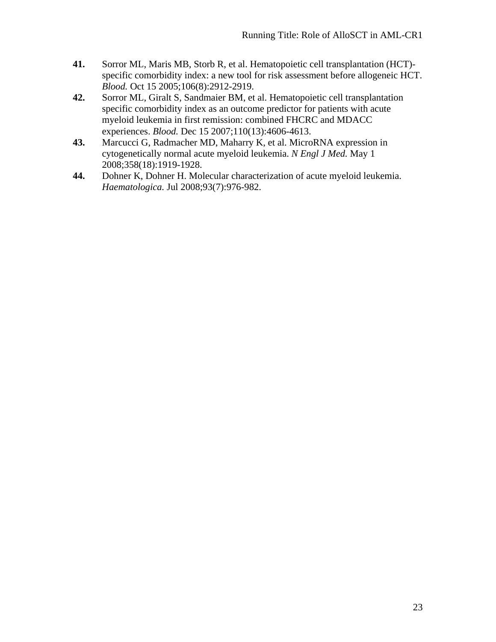- **41.** Sorror ML, Maris MB, Storb R, et al. Hematopoietic cell transplantation (HCT) specific comorbidity index: a new tool for risk assessment before allogeneic HCT. *Blood.* Oct 15 2005;106(8):2912-2919.
- **42.** Sorror ML, Giralt S, Sandmaier BM, et al. Hematopoietic cell transplantation specific comorbidity index as an outcome predictor for patients with acute myeloid leukemia in first remission: combined FHCRC and MDACC experiences. *Blood.* Dec 15 2007;110(13):4606-4613.
- **43.** Marcucci G, Radmacher MD, Maharry K, et al. MicroRNA expression in cytogenetically normal acute myeloid leukemia. *N Engl J Med.* May 1 2008;358(18):1919-1928.
- **44.** Dohner K, Dohner H. Molecular characterization of acute myeloid leukemia. *Haematologica.* Jul 2008;93(7):976-982.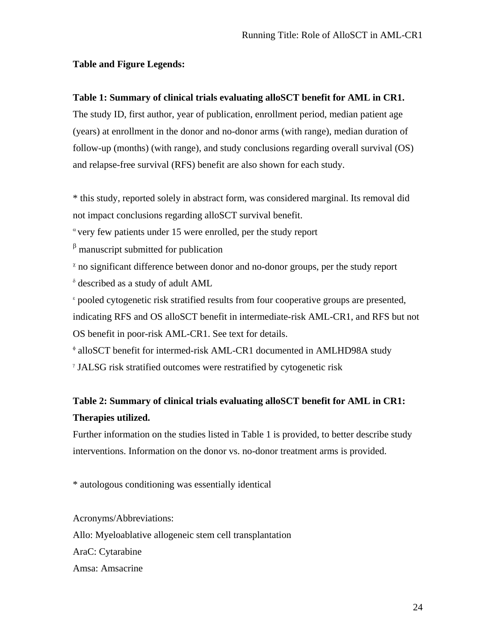## **Table and Figure Legends:**

## **Table 1: Summary of clinical trials evaluating alloSCT benefit for AML in CR1.**

The study ID, first author, year of publication, enrollment period, median patient age (years) at enrollment in the donor and no-donor arms (with range), median duration of follow-up (months) (with range), and study conclusions regarding overall survival (OS) and relapse-free survival (RFS) benefit are also shown for each study.

\* this study, reported solely in abstract form, was considered marginal. Its removal did not impact conclusions regarding alloSCT survival benefit.

 $\alpha$  very few patients under 15 were enrolled, per the study report

 $\beta$  manuscript submitted for publication

 $\alpha$  no significant difference between donor and no-donor groups, per the study report δ described as a study of adult AML

<sup>ε</sup> pooled cytogenetic risk stratified results from four cooperative groups are presented, indicating RFS and OS alloSCT benefit in intermediate-risk AML-CR1, and RFS but not OS benefit in poor-risk AML-CR1. See text for details.

φ alloSCT benefit for intermed-risk AML-CR1 documented in AMLHD98A study

γ JALSG risk stratified outcomes were restratified by cytogenetic risk

# **Table 2: Summary of clinical trials evaluating alloSCT benefit for AML in CR1: Therapies utilized.**

Further information on the studies listed in Table 1 is provided, to better describe study interventions. Information on the donor vs. no-donor treatment arms is provided.

\* autologous conditioning was essentially identical

Acronyms/Abbreviations: Allo: Myeloablative allogeneic stem cell transplantation AraC: Cytarabine Amsa: Amsacrine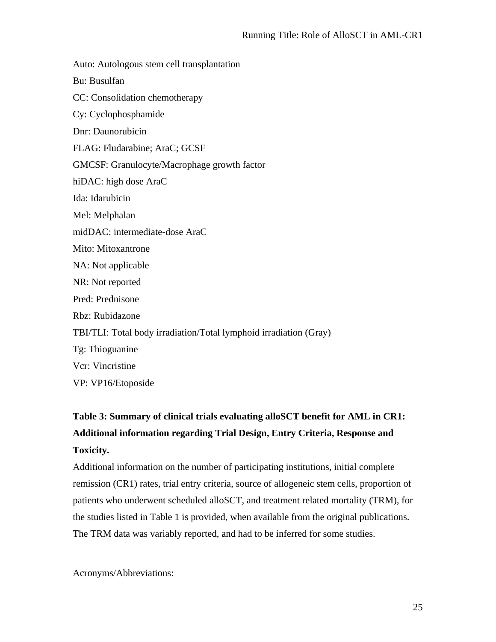Auto: Autologous stem cell transplantation Bu: Busulfan CC: Consolidation chemotherapy Cy: Cyclophosphamide Dnr: Daunorubicin FLAG: Fludarabine; AraC; GCSF GMCSF: Granulocyte/Macrophage growth factor hiDAC: high dose AraC Ida: Idarubicin Mel: Melphalan midDAC: intermediate-dose AraC Mito: Mitoxantrone NA: Not applicable NR: Not reported Pred: Prednisone Rbz: Rubidazone TBI/TLI: Total body irradiation/Total lymphoid irradiation (Gray) Tg: Thioguanine Vcr: Vincristine VP: VP16/Etoposide

# **Table 3: Summary of clinical trials evaluating alloSCT benefit for AML in CR1: Additional information regarding Trial Design, Entry Criteria, Response and Toxicity.**

Additional information on the number of participating institutions, initial complete remission (CR1) rates, trial entry criteria, source of allogeneic stem cells, proportion of patients who underwent scheduled alloSCT, and treatment related mortality (TRM), for the studies listed in Table 1 is provided, when available from the original publications. The TRM data was variably reported, and had to be inferred for some studies.

Acronyms/Abbreviations: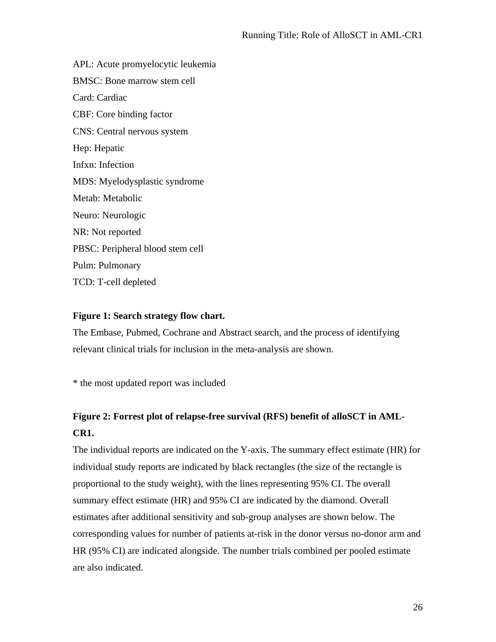APL: Acute promyelocytic leukemia BMSC: Bone marrow stem cell Card: Cardiac CBF: Core binding factor CNS: Central nervous system Hep: Hepatic Infxn: Infection MDS: Myelodysplastic syndrome Metab: Metabolic Neuro: Neurologic NR: Not reported PBSC: Peripheral blood stem cell Pulm: Pulmonary TCD: T-cell depleted

### **Figure 1: Search strategy flow chart.**

The Embase, Pubmed, Cochrane and Abstract search, and the process of identifying relevant clinical trials for inclusion in the meta-analysis are shown.

\* the most updated report was included

# **Figure 2: Forrest plot of relapse-free survival (RFS) benefit of alloSCT in AML-CR1.**

The individual reports are indicated on the Y-axis. The summary effect estimate (HR) for individual study reports are indicated by black rectangles (the size of the rectangle is proportional to the study weight), with the lines representing 95% CI. The overall summary effect estimate (HR) and 95% CI are indicated by the diamond. Overall estimates after additional sensitivity and sub-group analyses are shown below. The corresponding values for number of patients at-risk in the donor versus no-donor arm and HR (95% CI) are indicated alongside. The number trials combined per pooled estimate are also indicated.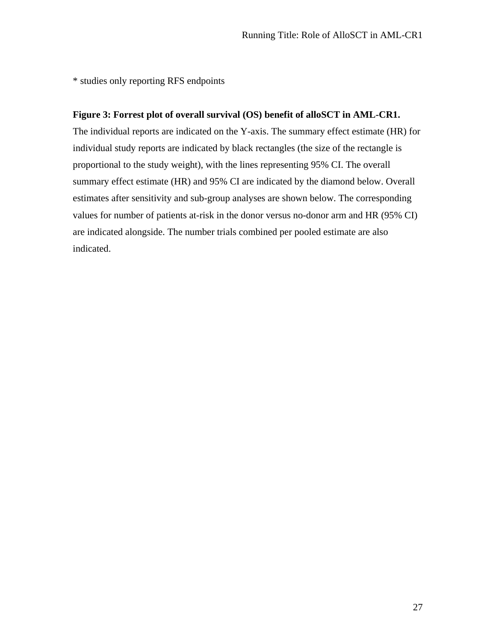\* studies only reporting RFS endpoints

### **Figure 3: Forrest plot of overall survival (OS) benefit of alloSCT in AML-CR1.**

The individual reports are indicated on the Y-axis. The summary effect estimate (HR) for individual study reports are indicated by black rectangles (the size of the rectangle is proportional to the study weight), with the lines representing 95% CI. The overall summary effect estimate (HR) and 95% CI are indicated by the diamond below. Overall estimates after sensitivity and sub-group analyses are shown below. The corresponding values for number of patients at-risk in the donor versus no-donor arm and HR (95% CI) are indicated alongside. The number trials combined per pooled estimate are also indicated.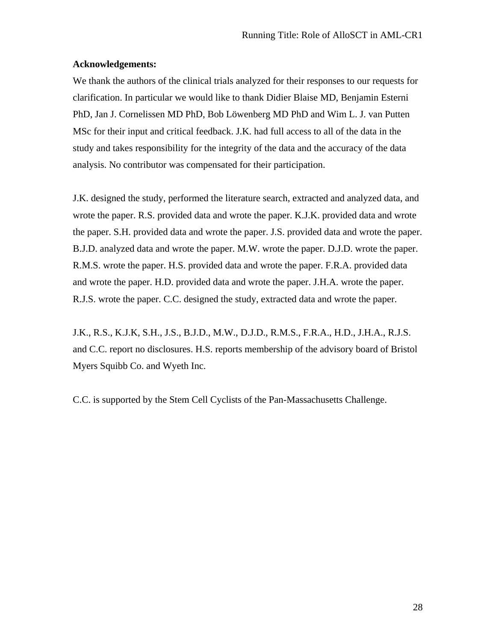### **Acknowledgements:**

We thank the authors of the clinical trials analyzed for their responses to our requests for clarification. In particular we would like to thank Didier Blaise MD, Benjamin Esterni PhD, Jan J. Cornelissen MD PhD, Bob Löwenberg MD PhD and Wim L. J. van Putten MSc for their input and critical feedback. J.K. had full access to all of the data in the study and takes responsibility for the integrity of the data and the accuracy of the data analysis. No contributor was compensated for their participation.

J.K. designed the study, performed the literature search, extracted and analyzed data, and wrote the paper. R.S. provided data and wrote the paper. K.J.K. provided data and wrote the paper. S.H. provided data and wrote the paper. J.S. provided data and wrote the paper. B.J.D. analyzed data and wrote the paper. M.W. wrote the paper. D.J.D. wrote the paper. R.M.S. wrote the paper. H.S. provided data and wrote the paper. F.R.A. provided data and wrote the paper. H.D. provided data and wrote the paper. J.H.A. wrote the paper. R.J.S. wrote the paper. C.C. designed the study, extracted data and wrote the paper.

J.K., R.S., K.J.K, S.H., J.S., B.J.D., M.W., D.J.D., R.M.S., F.R.A., H.D., J.H.A., R.J.S. and C.C. report no disclosures. H.S. reports membership of the advisory board of Bristol Myers Squibb Co. and Wyeth Inc.

C.C. is supported by the Stem Cell Cyclists of the Pan-Massachusetts Challenge.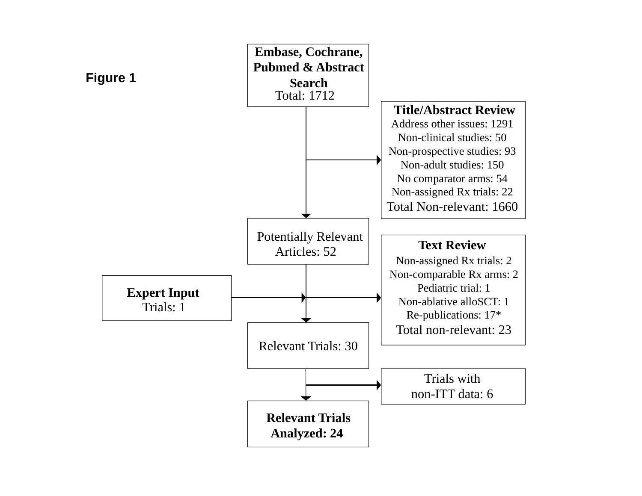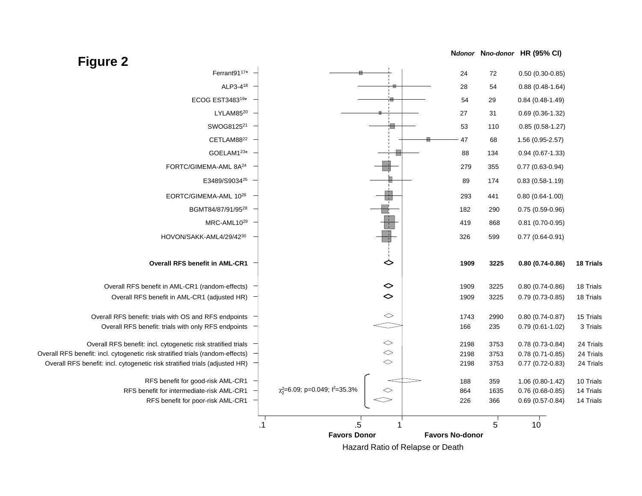



Hazard Ratio of Relapse or Death

# **Figure 2**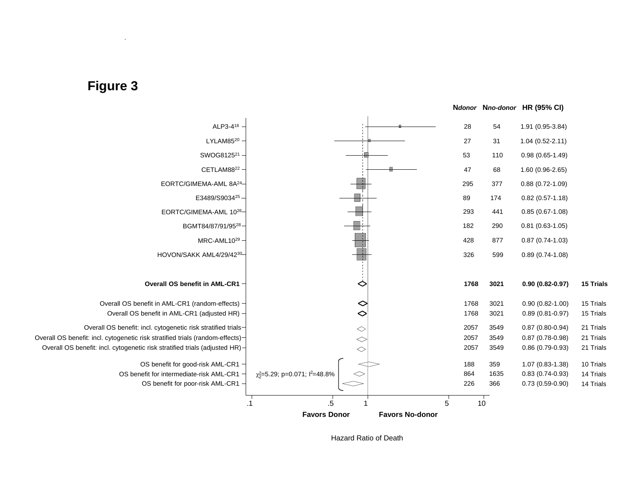



Hazard Ratio of Death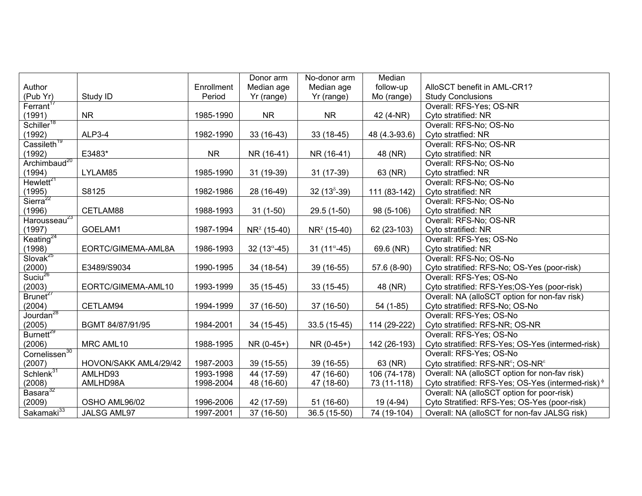|                           |                       |            | Donor arm               | No-donor arm                               | Median        |                                                               |
|---------------------------|-----------------------|------------|-------------------------|--------------------------------------------|---------------|---------------------------------------------------------------|
| Author                    |                       | Enrollment | Median age              | Median age                                 | follow-up     | AlloSCT benefit in AML-CR1?                                   |
| (Pub Yr)                  | Study ID              | Period     | Yr (range)              | Yr (range)                                 | Mo (range)    | <b>Study Conclusions</b>                                      |
| Ferrant <sup>17</sup>     |                       |            |                         |                                            |               | Overall: RFS-Yes; OS-NR                                       |
| (1991)                    | <b>NR</b>             | 1985-1990  | <b>NR</b>               | <b>NR</b>                                  | 42 (4-NR)     | Cyto stratified: NR                                           |
| Schiller <sup>18</sup>    |                       |            |                         |                                            |               | Overall: RFS-No; OS-No                                        |
| (1992)                    | ALP3-4                | 1982-1990  | $33(16-43)$             | 33 (18-45)                                 | 48 (4.3-93.6) | Cyto stratfied: NR                                            |
| Cassileth <sup>19</sup>   |                       |            |                         |                                            |               | Overall: RFS-No; OS-NR                                        |
| (1992)                    | E3483*                | <b>NR</b>  | NR (16-41)              | NR (16-41)                                 | 48 (NR)       | Cyto stratified: NR                                           |
| Archimbaud <sup>20</sup>  |                       |            |                         |                                            |               | Overall: RFS-No; OS-No                                        |
| (1994)                    | LYLAM85               | 1985-1990  | 31 (19-39)              | 31 (17-39)                                 | 63 (NR)       | Cyto stratfied: NR                                            |
| Hewlett <sup>21</sup>     |                       |            |                         |                                            |               | Overall: RFS-No; OS-No                                        |
| (1995)                    | S8125                 | 1982-1986  | 28 (16-49)              | 32 $(138-39)$                              | 111 (83-142)  | Cyto stratified: NR                                           |
| Sierra <sup>22</sup>      |                       |            |                         |                                            |               | Overall: RFS-No; OS-No                                        |
| (1996)                    | CETLAM88              | 1988-1993  | $31(1-50)$              | 29.5 (1-50)                                | 98 (5-106)    | Cyto stratified: NR                                           |
| Harousseau <sup>23</sup>  |                       |            |                         |                                            |               | Overall: RFS-No; OS-NR                                        |
| (1997)                    | GOELAM1               | 1987-1994  | $NR^{\chi}$ (15-40)     | $NR^{\chi}$ (15-40)                        | 62 (23-103)   | Cyto stratified: NR                                           |
| Keating $^{24}$           |                       |            |                         |                                            |               | Overall: RFS-Yes; OS-No                                       |
| (1998)                    | EORTC/GIMEMA-AML8A    | 1986-1993  | 32 (13 $^{\alpha}$ -45) | 31 (11 <sup><math>\alpha</math></sup> -45) | 69.6 (NR)     | Cyto stratified: NR                                           |
| Slovak <sup>25</sup>      |                       |            |                         |                                            |               | Overall: RFS-No; OS-No                                        |
| (2000)                    | E3489/S9034           | 1990-1995  | 34 (18-54)              | 39 (16-55)                                 | 57.6 (8-90)   | Cyto stratified: RFS-No; OS-Yes (poor-risk)                   |
| Suciu <sup>26</sup>       |                       |            |                         |                                            |               | Overall: RFS-Yes; OS-No                                       |
| (2003)                    | EORTC/GIMEMA-AML10    | 1993-1999  | $35(15-45)$             | $33(15-45)$                                | 48 (NR)       | Cyto stratified: RFS-Yes;OS-Yes (poor-risk)                   |
| Brunet <sup>27</sup>      |                       |            |                         |                                            |               | Overall: NA (alloSCT option for non-fav risk)                 |
| (2004)                    | CETLAM94              | 1994-1999  | 37 (16-50)              | 37 (16-50)                                 | 54 (1-85)     | Cyto stratified: RFS-No; OS-No                                |
| Jourdan <sup>28</sup>     |                       |            |                         |                                            |               | Overall: RFS-Yes; OS-No                                       |
| (2005)                    | BGMT 84/87/91/95      | 1984-2001  | 34 (15-45)              | $33.5(15-45)$                              | 114 (29-222)  | Cyto stratified: RFS-NR; OS-NR                                |
| Burnett <sup>29</sup>     |                       |            |                         |                                            |               | Overall: RFS-Yes; OS-No                                       |
| (2006)                    | MRC AML10             | 1988-1995  | NR (0-45+)              | NR (0-45+)                                 | 142 (26-193)  | Cyto stratified: RFS-Yes; OS-Yes (intermed-risk)              |
| Cornelissen <sup>30</sup> |                       |            |                         |                                            |               | Overall: RFS-Yes; OS-No                                       |
| (2007)                    | HOVON/SAKK AML4/29/42 | 1987-2003  | 39 (15-55)              | 39 (16-55)                                 | 63 (NR)       | Cyto stratified: RFS-NR <sup>®</sup> ; OS-NR <sup>®</sup>     |
| Schlenk <sup>31</sup>     | AMLHD93               | 1993-1998  | 44 (17-59)              | 47 (16-60)                                 | 106 (74-178)  | Overall: NA (alloSCT option for non-fav risk)                 |
| (2008)                    | AMLHD98A              | 1998-2004  | 48 (16-60)              | 47 (18-60)                                 | 73 (11-118)   | Cyto stratified: RFS-Yes; OS-Yes (intermed-risk) <sup>¢</sup> |
| Basara $32$               |                       |            |                         |                                            |               | Overall: NA (alloSCT option for poor-risk)                    |
| (2009)                    | OSHO AML96/02         | 1996-2006  | 42 (17-59)              | 51 (16-60)                                 | 19 (4-94)     | Cyto Stratified: RFS-Yes; OS-Yes (poor-risk)                  |
| Sakamaki $^{33}$          | JALSG AML97           | 1997-2001  | 37 (16-50)              | 36.5 (15-50)                               | 74 (19-104)   | Overall: NA (alloSCT for non-fav JALSG risk)                  |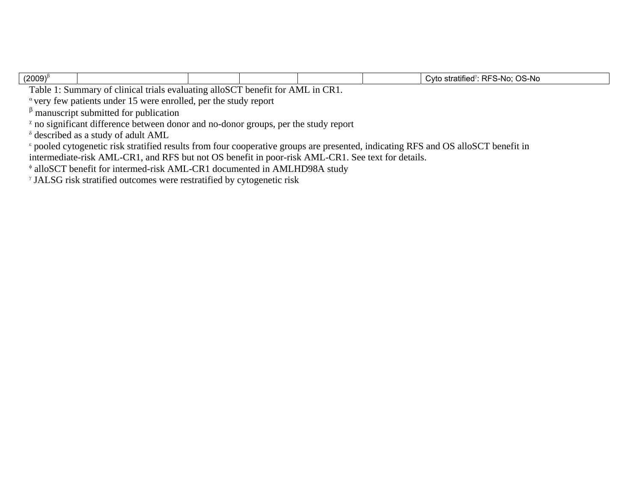| $(2009)^{\beta}$ |                            |               | OS-No<br>ട-No<br>stratified<br>. RF<br>$\sim$ trees<br>vtr |
|------------------|----------------------------|---------------|------------------------------------------------------------|
| --               | $\sim$ $\sim$ $\sim$<br>-- | $\sim$<br>--- |                                                            |

Table 1: Summary of clinical trials evaluating alloSCT benefit for AML in CR1.

 $\alpha$  very few patients under 15 were enrolled, per the study report

 $β$  manuscript submitted for publication

 $\alpha$  no significant difference between donor and no-donor groups, per the study report

 $\delta$  described as a study of adult AML

<sup>ε</sup> pooled cytogenetic risk stratified results from four cooperative groups are presented, indicating RFS and OS alloSCT benefit in

intermediate-risk AML-CR1, and RFS but not OS benefit in poor-risk AML-CR1. See text for details.

<sup>φ</sup> alloSCT benefit for intermed-risk AML-CR1 documented in AMLHD98A study

γ JALSG risk stratified outcomes were restratified by cytogenetic risk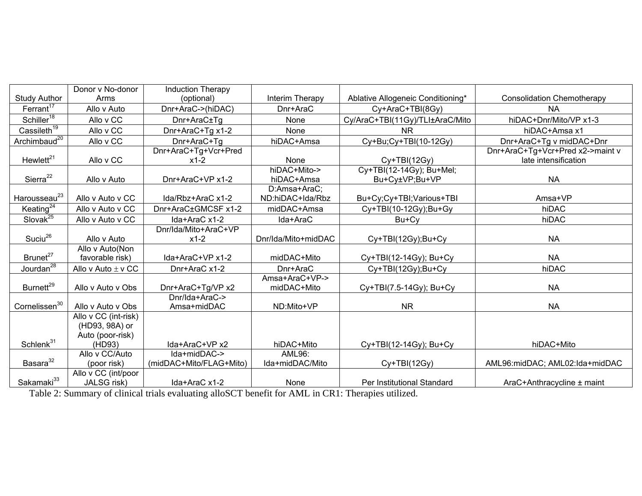|                                    | Donor v No-donor       | <b>Induction Therapy</b> |                     |                                   |                                   |  |
|------------------------------------|------------------------|--------------------------|---------------------|-----------------------------------|-----------------------------------|--|
| <b>Study Author</b>                | Arms                   | (optional)               | Interim Therapy     | Ablative Allogeneic Conditioning* | <b>Consolidation Chemotherapy</b> |  |
| Ferrant <sup>17</sup>              | Allo v Auto            | Dnr+AraC->(hiDAC)        | Dnr+AraC            | Cy+AraC+TBI(8Gy)                  | <b>NA</b>                         |  |
| Schiller <sup>18</sup>             | Allo v CC              | Dnr+AraC±Tg              | None                | Cy/AraC+TBI(11Gy)/TLI±AraC/Mito   | hiDAC+Dnr/Mito/VP x1-3            |  |
| $\overline{\text{Cassileth}^{19}}$ | Allo v CC              | Dnr+AraC+Tg x1-2         | None                | <b>NR</b>                         | hiDAC+Amsa x1                     |  |
| Archimbaud <sup>20</sup>           | Allo v CC              | Dnr+AraC+Tg              | hiDAC+Amsa          | Cy+Bu;Cy+TBI(10-12Gy)             | Dnr+AraC+Tg v midDAC+Dnr          |  |
|                                    |                        | Dnr+AraC+Tg+Vcr+Pred     |                     |                                   | Dnr+AraC+Tg+Vcr+Pred x2->maint v  |  |
| Hewlett <sup>21</sup>              | Allo v CC              | $x1-2$                   | None                | $Cy+TBI(12Gy)$                    | late intensification              |  |
|                                    |                        |                          | hiDAC+Mito->        | Cy+TBI(12-14Gy); Bu+Mel;          |                                   |  |
| Sierra <sup>22</sup>               | Allo v Auto            | Dnr+AraC+VP x1-2         | hiDAC+Amsa          | Bu+Cy±VP;Bu+VP                    | <b>NA</b>                         |  |
|                                    |                        |                          | D:Amsa+AraC;        |                                   |                                   |  |
| Harousseau <sup>23</sup>           | Allo v Auto v CC       | Ida/Rbz+AraC x1-2        | ND:hiDAC+Ida/Rbz    | Bu+Cy;Cy+TBI;Various+TBI          | Amsa+VP                           |  |
| Keating $^{24}$                    | Allo v Auto v CC       | Dnr+AraC±GMCSF x1-2      | midDAC+Amsa         | Cy+TBI(10-12Gy);Bu+Gy             | hiDAC                             |  |
| Slovak <sup>25</sup>               | Allo v Auto v CC       | Ida+AraC x1-2            | Ida+AraC            | Bu+Cy                             | hiDAC                             |  |
|                                    |                        | Dnr/Ida/Mito+AraC+VP     |                     |                                   |                                   |  |
| Suciu $^{26}$                      | Allo v Auto            | $x1-2$                   | Dnr/Ida/Mito+midDAC | Cy+TBI(12Gy);Bu+Cy                | <b>NA</b>                         |  |
|                                    | Allo v Auto(Non        |                          |                     |                                   |                                   |  |
| Brunet <sup>27</sup>               | favorable risk)        | Ida+AraC+VP x1-2         | midDAC+Mito         | Cy+TBI(12-14Gy); Bu+Cy            | <b>NA</b>                         |  |
| Jourdan $\overline{a^{28}}$        | Allo v Auto $\pm$ v CC | Dnr+AraC x1-2            | Dnr+AraC            | Cy+TBI(12Gy);Bu+Cy                | hiDAC                             |  |
|                                    |                        |                          | Amsa+AraC+VP->      |                                   |                                   |  |
| Burnett <sup>29</sup>              | Allo v Auto v Obs      | Dnr+AraC+Tg/VP x2        | midDAC+Mito         | Cy+TBI(7.5-14Gy); Bu+Cy           | <b>NA</b>                         |  |
|                                    |                        | Dnr/Ida+AraC->           |                     |                                   |                                   |  |
| Cornelissen <sup>30</sup>          | Allo v Auto v Obs      | Amsa+midDAC              | ND:Mito+VP          | <b>NR</b>                         | <b>NA</b>                         |  |
|                                    | Allo v CC (int-risk)   |                          |                     |                                   |                                   |  |
|                                    | (HD93, 98A) or         |                          |                     |                                   |                                   |  |
|                                    | Auto (poor-risk)       |                          |                     |                                   |                                   |  |
| Schlenk <sup>31</sup>              | (HD93)                 | Ida+AraC+VP x2           | hiDAC+Mito          | Cy+TBI(12-14Gy); Bu+Cy            | hiDAC+Mito                        |  |
|                                    | Allo v CC/Auto         | $Ida + midDAC - >$       | AML96:              |                                   |                                   |  |
| Basara <sup>32</sup>               | (poor risk)            | (midDAC+Mito/FLAG+Mito)  | Ida+midDAC/Mito     | Cy+TBI(12Gy)                      | AML96:midDAC; AML02:Ida+midDAC    |  |
|                                    | Allo v CC (int/poor    |                          |                     |                                   |                                   |  |
| Sakamaki <sup>33</sup>             | JALSG risk)            | Ida+AraC x1-2            | None                | Per Institutional Standard        | AraC+Anthracycline ± maint        |  |

Table 2: Summary of clinical trials evaluating alloSCT benefit for AML in CR1: Therapies utilized.